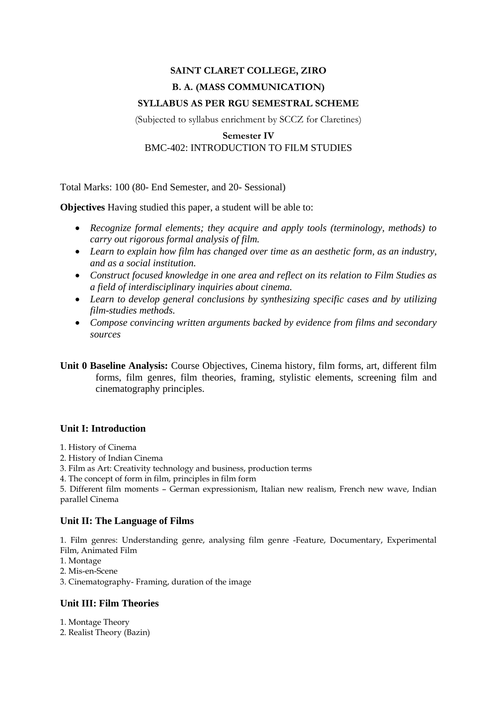# **SAINT CLARET COLLEGE, ZIRO B. A. (MASS COMMUNICATION) SYLLABUS AS PER RGU SEMESTRAL SCHEME**

(Subjected to syllabus enrichment by SCCZ for Claretines)

## **Semester IV** BMC-402: INTRODUCTION TO FILM STUDIES

Total Marks: 100 (80- End Semester, and 20- Sessional)

**Objectives** Having studied this paper, a student will be able to:

- *Recognize formal elements; they acquire and apply tools (terminology, methods) to carry out rigorous formal analysis of film.*
- *Learn to explain how film has changed over time as an aesthetic form, as an industry, and as a social institution.*
- *Construct focused knowledge in one area and reflect on its relation to Film Studies as a field of interdisciplinary inquiries about cinema.*
- *Learn to develop general conclusions by synthesizing specific cases and by utilizing film-studies methods.*
- *Compose convincing written arguments backed by evidence from films and secondary sources*

**Unit 0 Baseline Analysis:** Course Objectives, Cinema history, film forms, art, different film forms, film genres, film theories, framing, stylistic elements, screening film and cinematography principles.

### **Unit I: Introduction**

- 1. History of Cinema
- 2. History of Indian Cinema
- 3. Film as Art: Creativity technology and business, production terms
- 4. The concept of form in film, principles in film form

5. Different film moments – German expressionism, Italian new realism, French new wave, Indian parallel Cinema

### **Unit II: The Language of Films**

1. Film genres: Understanding genre, analysing film genre -Feature, Documentary, Experimental Film, Animated Film

- 1. Montage
- 2. Mis-en-Scene
- 3. Cinematography- Framing, duration of the image

## **Unit III: Film Theories**

1. Montage Theory

2. Realist Theory (Bazin)